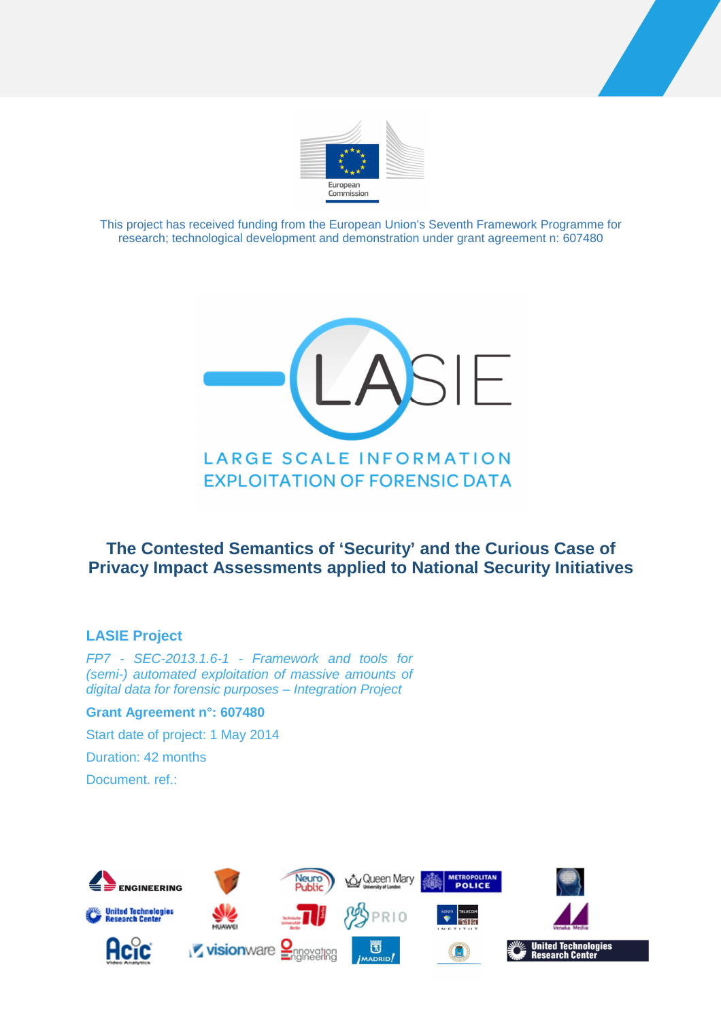



This project has received funding from the European Union's Seventh Framework Programme for research; technological development and demonstration under grant agreement n: 607480



# **The Contested Semantics of 'Security' and the Curious Case of Privacy Impact Assessments applied to National Security Initiatives**

### **LASIE Project**

FP7 - SEC-2013.1.6-1 - Framework and tools for (semi-) automated exploitation of massive amounts of digital data for forensic purposes – Integration Project

**Grant Agreement n°: 607480** 

Start date of project: 1 May 2014

Duration: 42 months

Document. ref.:

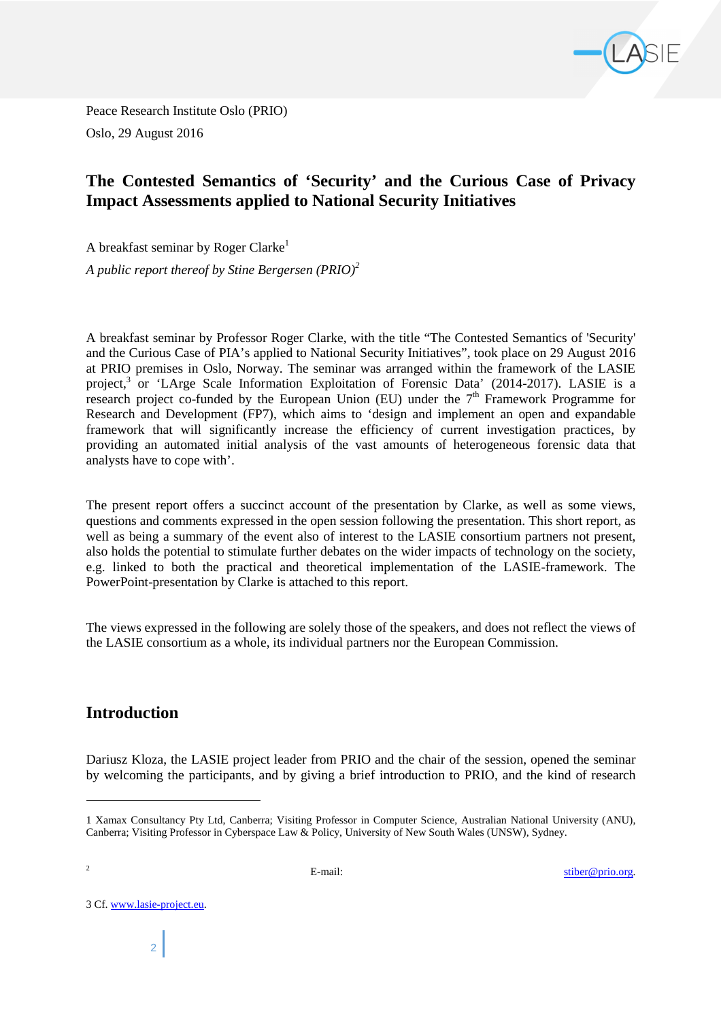

Peace Research Institute Oslo (PRIO) Oslo, 29 August 2016

## **The Contested Semantics of 'Security' and the Curious Case of Privacy Impact Assessments applied to National Security Initiatives**

A breakfast seminar by Roger Clarke<sup>1</sup>

*A public report thereof by Stine Bergersen (PRIO)<sup>2</sup>*

A breakfast seminar by Professor Roger Clarke, with the title "The Contested Semantics of 'Security' and the Curious Case of PIA's applied to National Security Initiatives", took place on 29 August 2016 at PRIO premises in Oslo, Norway. The seminar was arranged within the framework of the LASIE project,<sup>3</sup> or 'LArge Scale Information Exploitation of Forensic Data' (2014-2017). LASIE is a research project co-funded by the European Union (EU) under the  $7<sup>th</sup>$  Framework Programme for Research and Development (FP7), which aims to 'design and implement an open and expandable framework that will significantly increase the efficiency of current investigation practices, by providing an automated initial analysis of the vast amounts of heterogeneous forensic data that analysts have to cope with'.

The present report offers a succinct account of the presentation by Clarke, as well as some views, questions and comments expressed in the open session following the presentation. This short report, as well as being a summary of the event also of interest to the LASIE consortium partners not present, also holds the potential to stimulate further debates on the wider impacts of technology on the society, e.g. linked to both the practical and theoretical implementation of the LASIE-framework. The PowerPoint-presentation by Clarke is attached to this report.

The views expressed in the following are solely those of the speakers, and does not reflect the views of the LASIE consortium as a whole, its individual partners nor the European Commission.

## **Introduction**

Dariusz Kloza, the LASIE project leader from PRIO and the chair of the session, opened the seminar by welcoming the participants, and by giving a brief introduction to PRIO, and the kind of research

l

<sup>2</sup> E-mail: Stiber@prio.org.

3 Cf. www.lasie-project.eu.

<sup>1</sup> Xamax Consultancy Pty Ltd, Canberra; Visiting Professor in Computer Science, Australian National University (ANU), Canberra; Visiting Professor in Cyberspace Law & Policy, University of New South Wales (UNSW), Sydney.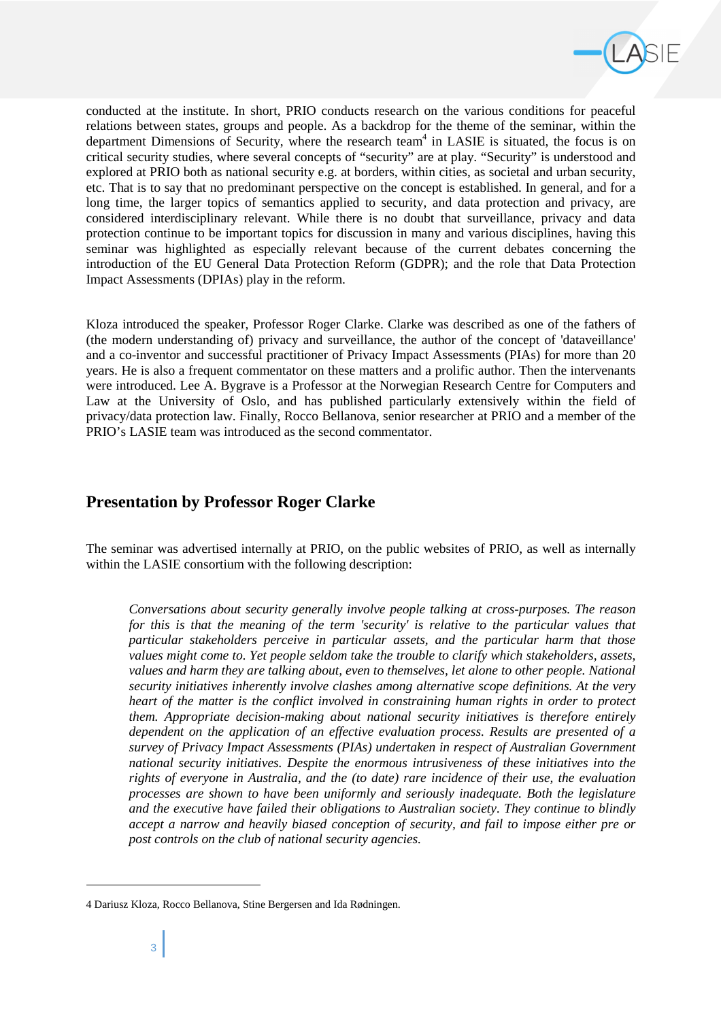

conducted at the institute. In short, PRIO conducts research on the various conditions for peaceful relations between states, groups and people. As a backdrop for the theme of the seminar, within the department Dimensions of Security, where the research team<sup>4</sup> in LASIE is situated, the focus is on critical security studies, where several concepts of "security" are at play. "Security" is understood and explored at PRIO both as national security e.g. at borders, within cities, as societal and urban security, etc. That is to say that no predominant perspective on the concept is established. In general, and for a long time, the larger topics of semantics applied to security, and data protection and privacy, are considered interdisciplinary relevant. While there is no doubt that surveillance, privacy and data protection continue to be important topics for discussion in many and various disciplines, having this seminar was highlighted as especially relevant because of the current debates concerning the introduction of the EU General Data Protection Reform (GDPR); and the role that Data Protection Impact Assessments (DPIAs) play in the reform.

Kloza introduced the speaker, Professor Roger Clarke. Clarke was described as one of the fathers of (the modern understanding of) privacy and surveillance, the author of the concept of 'dataveillance' and a co-inventor and successful practitioner of Privacy Impact Assessments (PIAs) for more than 20 years. He is also a frequent commentator on these matters and a prolific author. Then the intervenants were introduced. Lee A. Bygrave is a Professor at the Norwegian Research Centre for Computers and Law at the University of Oslo, and has published particularly extensively within the field of privacy/data protection law. Finally, Rocco Bellanova, senior researcher at PRIO and a member of the PRIO's LASIE team was introduced as the second commentator.

## **Presentation by Professor Roger Clarke**

The seminar was advertised internally at PRIO, on the public websites of PRIO, as well as internally within the LASIE consortium with the following description:

*Conversations about security generally involve people talking at cross-purposes. The reason for this is that the meaning of the term 'security' is relative to the particular values that particular stakeholders perceive in particular assets, and the particular harm that those values might come to. Yet people seldom take the trouble to clarify which stakeholders, assets, values and harm they are talking about, even to themselves, let alone to other people. National security initiatives inherently involve clashes among alternative scope definitions. At the very heart of the matter is the conflict involved in constraining human rights in order to protect them. Appropriate decision-making about national security initiatives is therefore entirely dependent on the application of an effective evaluation process. Results are presented of a survey of Privacy Impact Assessments (PIAs) undertaken in respect of Australian Government national security initiatives. Despite the enormous intrusiveness of these initiatives into the rights of everyone in Australia, and the (to date) rare incidence of their use, the evaluation processes are shown to have been uniformly and seriously inadequate. Both the legislature and the executive have failed their obligations to Australian society. They continue to blindly accept a narrow and heavily biased conception of security, and fail to impose either pre or post controls on the club of national security agencies.* 

l

<sup>4</sup> Dariusz Kloza, Rocco Bellanova, Stine Bergersen and Ida Rødningen.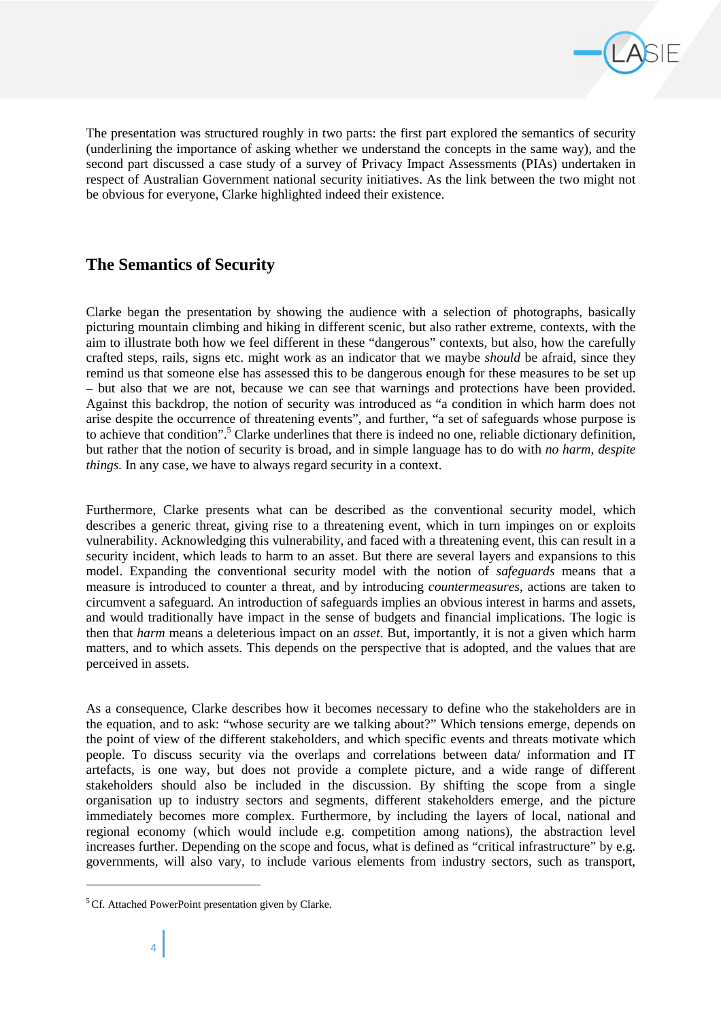

The presentation was structured roughly in two parts: the first part explored the semantics of security (underlining the importance of asking whether we understand the concepts in the same way), and the second part discussed a case study of a survey of Privacy Impact Assessments (PIAs) undertaken in respect of Australian Government national security initiatives. As the link between the two might not be obvious for everyone, Clarke highlighted indeed their existence.

## **The Semantics of Security**

Clarke began the presentation by showing the audience with a selection of photographs, basically picturing mountain climbing and hiking in different scenic, but also rather extreme, contexts, with the aim to illustrate both how we feel different in these "dangerous" contexts, but also, how the carefully crafted steps, rails, signs etc. might work as an indicator that we maybe *should* be afraid, since they remind us that someone else has assessed this to be dangerous enough for these measures to be set up – but also that we are not, because we can see that warnings and protections have been provided. Against this backdrop, the notion of security was introduced as "a condition in which harm does not arise despite the occurrence of threatening events", and further, "a set of safeguards whose purpose is to achieve that condition".<sup>5</sup> Clarke underlines that there is indeed no one, reliable dictionary definition, but rather that the notion of security is broad, and in simple language has to do with *no harm, despite things.* In any case, we have to always regard security in a context.

Furthermore, Clarke presents what can be described as the conventional security model, which describes a generic threat, giving rise to a threatening event, which in turn impinges on or exploits vulnerability. Acknowledging this vulnerability, and faced with a threatening event, this can result in a security incident, which leads to harm to an asset. But there are several layers and expansions to this model. Expanding the conventional security model with the notion of *safeguards* means that a measure is introduced to counter a threat, and by introducing *countermeasures*, actions are taken to circumvent a safeguard. An introduction of safeguards implies an obvious interest in harms and assets, and would traditionally have impact in the sense of budgets and financial implications. The logic is then that *harm* means a deleterious impact on an *asset*. But, importantly, it is not a given which harm matters, and to which assets. This depends on the perspective that is adopted, and the values that are perceived in assets.

As a consequence, Clarke describes how it becomes necessary to define who the stakeholders are in the equation, and to ask: "whose security are we talking about?" Which tensions emerge, depends on the point of view of the different stakeholders, and which specific events and threats motivate which people. To discuss security via the overlaps and correlations between data/ information and IT artefacts, is one way, but does not provide a complete picture, and a wide range of different stakeholders should also be included in the discussion. By shifting the scope from a single organisation up to industry sectors and segments, different stakeholders emerge, and the picture immediately becomes more complex. Furthermore, by including the layers of local, national and regional economy (which would include e.g. competition among nations), the abstraction level increases further. Depending on the scope and focus, what is defined as "critical infrastructure" by e.g. governments, will also vary, to include various elements from industry sectors, such as transport,

l

<sup>&</sup>lt;sup>5</sup>Cf. Attached PowerPoint presentation given by Clarke.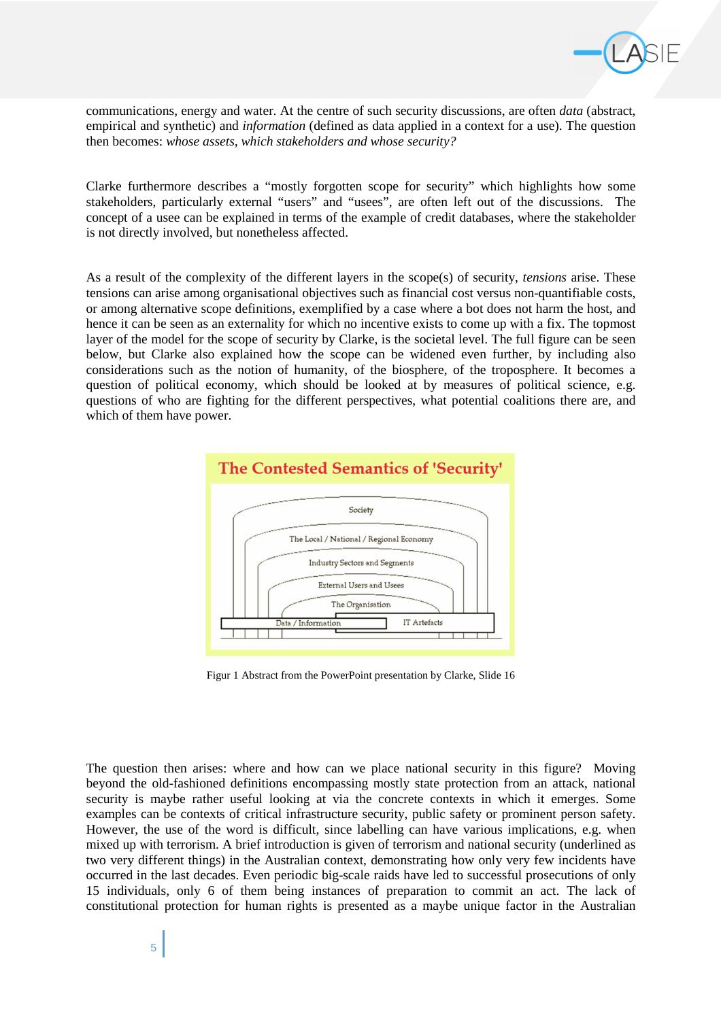

communications, energy and water. At the centre of such security discussions, are often *data* (abstract, empirical and synthetic) and *information* (defined as data applied in a context for a use). The question then becomes: *whose assets, which stakeholders and whose security?* 

Clarke furthermore describes a "mostly forgotten scope for security" which highlights how some stakeholders, particularly external "users" and "usees", are often left out of the discussions. The concept of a usee can be explained in terms of the example of credit databases, where the stakeholder is not directly involved, but nonetheless affected.

As a result of the complexity of the different layers in the scope(s) of security, *tensions* arise. These tensions can arise among organisational objectives such as financial cost versus non-quantifiable costs, or among alternative scope definitions, exemplified by a case where a bot does not harm the host, and hence it can be seen as an externality for which no incentive exists to come up with a fix. The topmost layer of the model for the scope of security by Clarke, is the societal level. The full figure can be seen below, but Clarke also explained how the scope can be widened even further, by including also considerations such as the notion of humanity, of the biosphere, of the troposphere. It becomes a question of political economy, which should be looked at by measures of political science, e.g. questions of who are fighting for the different perspectives, what potential coalitions there are, and which of them have power.



Figur 1 Abstract from the PowerPoint presentation by Clarke, Slide 16

The question then arises: where and how can we place national security in this figure? Moving beyond the old-fashioned definitions encompassing mostly state protection from an attack, national security is maybe rather useful looking at via the concrete contexts in which it emerges. Some examples can be contexts of critical infrastructure security, public safety or prominent person safety. However, the use of the word is difficult, since labelling can have various implications, e.g. when mixed up with terrorism. A brief introduction is given of terrorism and national security (underlined as two very different things) in the Australian context, demonstrating how only very few incidents have occurred in the last decades. Even periodic big-scale raids have led to successful prosecutions of only 15 individuals, only 6 of them being instances of preparation to commit an act. The lack of constitutional protection for human rights is presented as a maybe unique factor in the Australian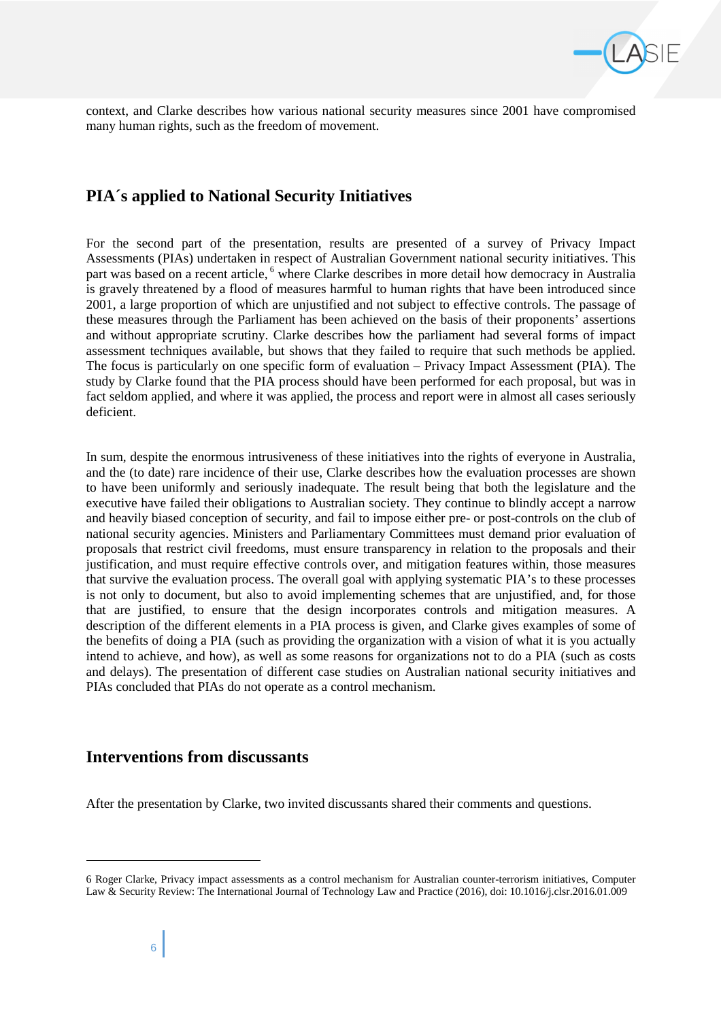

context, and Clarke describes how various national security measures since 2001 have compromised many human rights, such as the freedom of movement.

## **PIA´s applied to National Security Initiatives**

For the second part of the presentation, results are presented of a survey of Privacy Impact Assessments (PIAs) undertaken in respect of Australian Government national security initiatives. This part was based on a recent article, <sup>6</sup> where Clarke describes in more detail how democracy in Australia is gravely threatened by a flood of measures harmful to human rights that have been introduced since 2001, a large proportion of which are unjustified and not subject to effective controls. The passage of these measures through the Parliament has been achieved on the basis of their proponents' assertions and without appropriate scrutiny. Clarke describes how the parliament had several forms of impact assessment techniques available, but shows that they failed to require that such methods be applied. The focus is particularly on one specific form of evaluation – Privacy Impact Assessment (PIA). The study by Clarke found that the PIA process should have been performed for each proposal, but was in fact seldom applied, and where it was applied, the process and report were in almost all cases seriously deficient.

In sum, despite the enormous intrusiveness of these initiatives into the rights of everyone in Australia, and the (to date) rare incidence of their use, Clarke describes how the evaluation processes are shown to have been uniformly and seriously inadequate. The result being that both the legislature and the executive have failed their obligations to Australian society. They continue to blindly accept a narrow and heavily biased conception of security, and fail to impose either pre- or post-controls on the club of national security agencies. Ministers and Parliamentary Committees must demand prior evaluation of proposals that restrict civil freedoms, must ensure transparency in relation to the proposals and their justification, and must require effective controls over, and mitigation features within, those measures that survive the evaluation process. The overall goal with applying systematic PIA's to these processes is not only to document, but also to avoid implementing schemes that are unjustified, and, for those that are justified, to ensure that the design incorporates controls and mitigation measures. A description of the different elements in a PIA process is given, and Clarke gives examples of some of the benefits of doing a PIA (such as providing the organization with a vision of what it is you actually intend to achieve, and how), as well as some reasons for organizations not to do a PIA (such as costs and delays). The presentation of different case studies on Australian national security initiatives and PIAs concluded that PIAs do not operate as a control mechanism.

## **Interventions from discussants**

After the presentation by Clarke, two invited discussants shared their comments and questions.

l

<sup>6</sup> Roger Clarke, Privacy impact assessments as a control mechanism for Australian counter-terrorism initiatives, Computer Law & Security Review: The International Journal of Technology Law and Practice (2016), doi: 10.1016/j.clsr.2016.01.009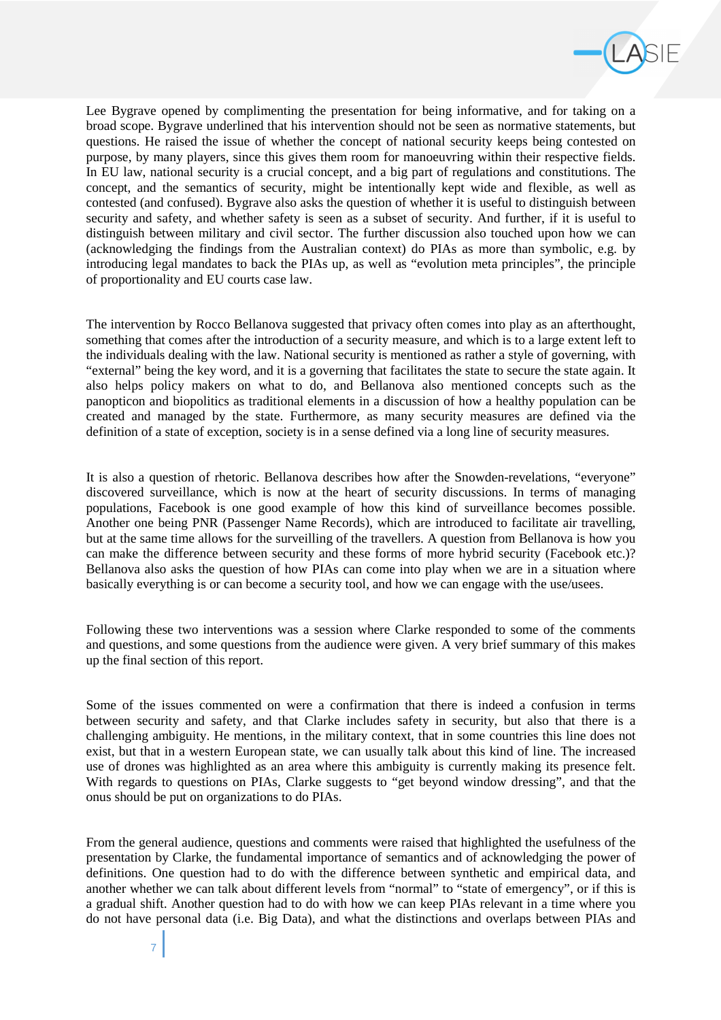

Lee Bygrave opened by complimenting the presentation for being informative, and for taking on a broad scope. Bygrave underlined that his intervention should not be seen as normative statements, but questions. He raised the issue of whether the concept of national security keeps being contested on purpose, by many players, since this gives them room for manoeuvring within their respective fields. In EU law, national security is a crucial concept, and a big part of regulations and constitutions. The concept, and the semantics of security, might be intentionally kept wide and flexible, as well as contested (and confused). Bygrave also asks the question of whether it is useful to distinguish between security and safety, and whether safety is seen as a subset of security. And further, if it is useful to distinguish between military and civil sector. The further discussion also touched upon how we can (acknowledging the findings from the Australian context) do PIAs as more than symbolic, e.g. by introducing legal mandates to back the PIAs up, as well as "evolution meta principles", the principle of proportionality and EU courts case law.

The intervention by Rocco Bellanova suggested that privacy often comes into play as an afterthought, something that comes after the introduction of a security measure, and which is to a large extent left to the individuals dealing with the law. National security is mentioned as rather a style of governing, with "external" being the key word, and it is a governing that facilitates the state to secure the state again. It also helps policy makers on what to do, and Bellanova also mentioned concepts such as the panopticon and biopolitics as traditional elements in a discussion of how a healthy population can be created and managed by the state. Furthermore, as many security measures are defined via the definition of a state of exception, society is in a sense defined via a long line of security measures.

It is also a question of rhetoric. Bellanova describes how after the Snowden-revelations, "everyone" discovered surveillance, which is now at the heart of security discussions. In terms of managing populations, Facebook is one good example of how this kind of surveillance becomes possible. Another one being PNR (Passenger Name Records), which are introduced to facilitate air travelling, but at the same time allows for the surveilling of the travellers. A question from Bellanova is how you can make the difference between security and these forms of more hybrid security (Facebook etc.)? Bellanova also asks the question of how PIAs can come into play when we are in a situation where basically everything is or can become a security tool, and how we can engage with the use/usees.

Following these two interventions was a session where Clarke responded to some of the comments and questions, and some questions from the audience were given. A very brief summary of this makes up the final section of this report.

Some of the issues commented on were a confirmation that there is indeed a confusion in terms between security and safety, and that Clarke includes safety in security, but also that there is a challenging ambiguity. He mentions, in the military context, that in some countries this line does not exist, but that in a western European state, we can usually talk about this kind of line. The increased use of drones was highlighted as an area where this ambiguity is currently making its presence felt. With regards to questions on PIAs, Clarke suggests to "get beyond window dressing", and that the onus should be put on organizations to do PIAs.

From the general audience, questions and comments were raised that highlighted the usefulness of the presentation by Clarke, the fundamental importance of semantics and of acknowledging the power of definitions. One question had to do with the difference between synthetic and empirical data, and another whether we can talk about different levels from "normal" to "state of emergency", or if this is a gradual shift. Another question had to do with how we can keep PIAs relevant in a time where you do not have personal data (i.e. Big Data), and what the distinctions and overlaps between PIAs and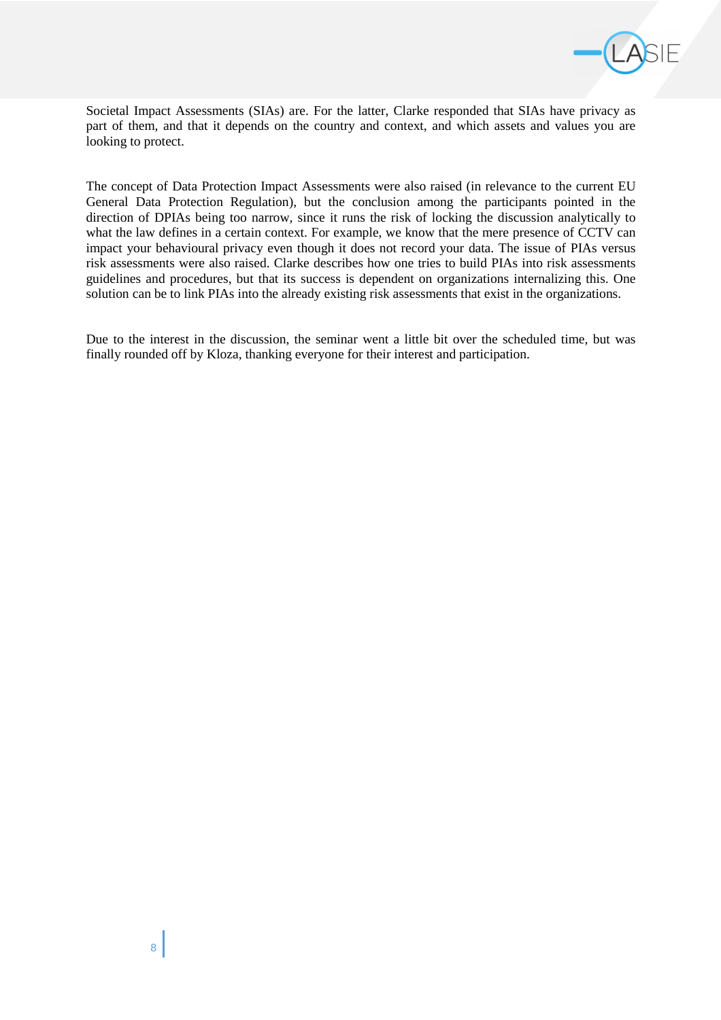

Societal Impact Assessments (SIAs) are. For the latter, Clarke responded that SIAs have privacy as part of them, and that it depends on the country and context, and which assets and values you are looking to protect.

The concept of Data Protection Impact Assessments were also raised (in relevance to the current EU General Data Protection Regulation), but the conclusion among the participants pointed in the direction of DPIAs being too narrow, since it runs the risk of locking the discussion analytically to what the law defines in a certain context. For example, we know that the mere presence of CCTV can impact your behavioural privacy even though it does not record your data. The issue of PIAs versus risk assessments were also raised. Clarke describes how one tries to build PIAs into risk assessments guidelines and procedures, but that its success is dependent on organizations internalizing this. One solution can be to link PIAs into the already existing risk assessments that exist in the organizations.

Due to the interest in the discussion, the seminar went a little bit over the scheduled time, but was finally rounded off by Kloza, thanking everyone for their interest and participation.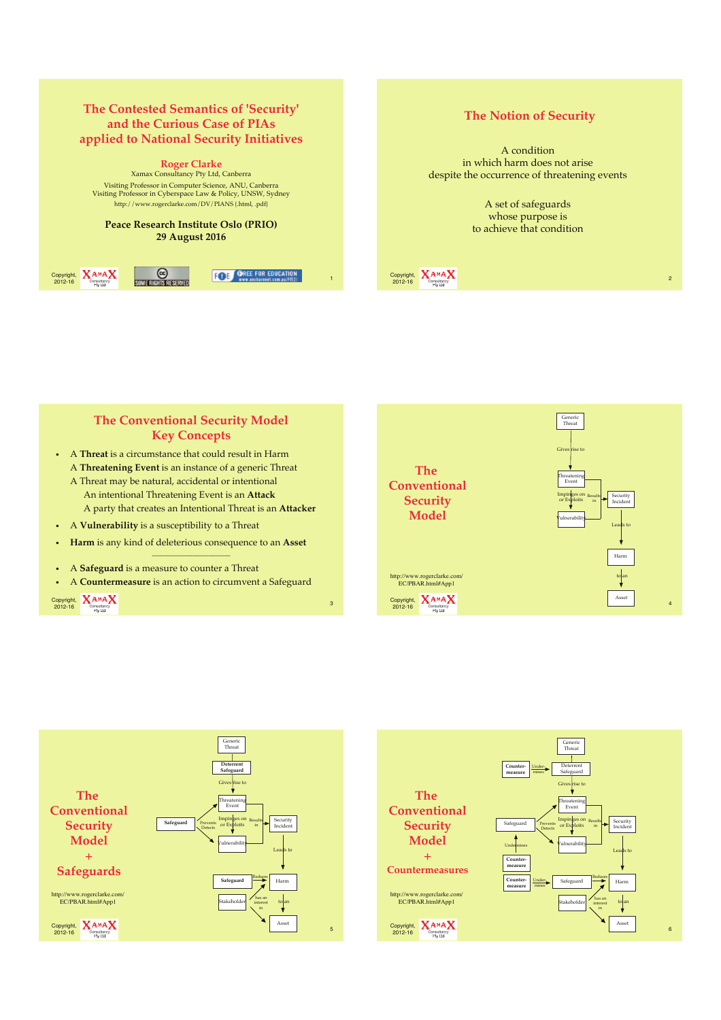### **The Contested Semantics of 'Security' and the Curious Case of PIAs applied to National Security Initiatives**

**Roger Clarke** Xamax Consultancy Pty Ltd, Canberra Visiting Professor in Computer Science, ANU, Canberra Visiting Professor in Cyberspace Law & Policy, UNSW, Sydney http://www.rogerclarke.com/DV/PIANS {.html, .pdf}

**Peace Research Institute Oslo (PRIO) 29 August 2016**



## **The Notion of Security**

A condition in which harm does not arise despite the occurrence of threatening events

> A set of safeguards whose purpose is to achieve that condition

 $\frac{\text{Copyright. A } A M A}{\text{       }}$ 





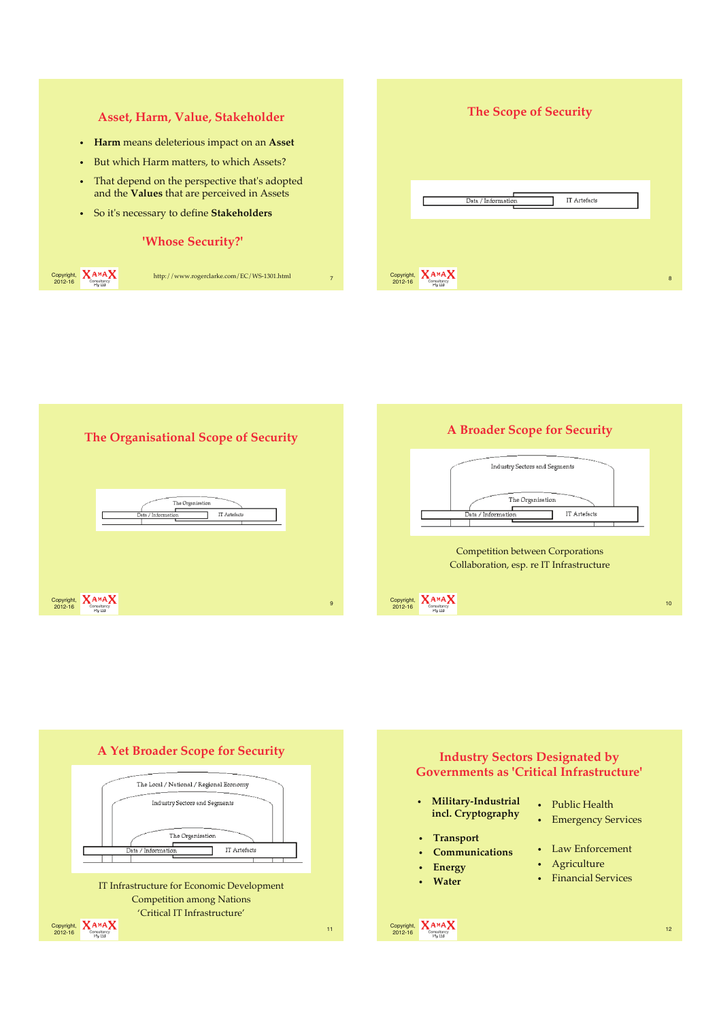







Collaboration, esp. re IT Infrastructure

 $\frac{\text{Copyright. A } A^{MA} \cdot \text{A}}{\text{Constituting}}$  10

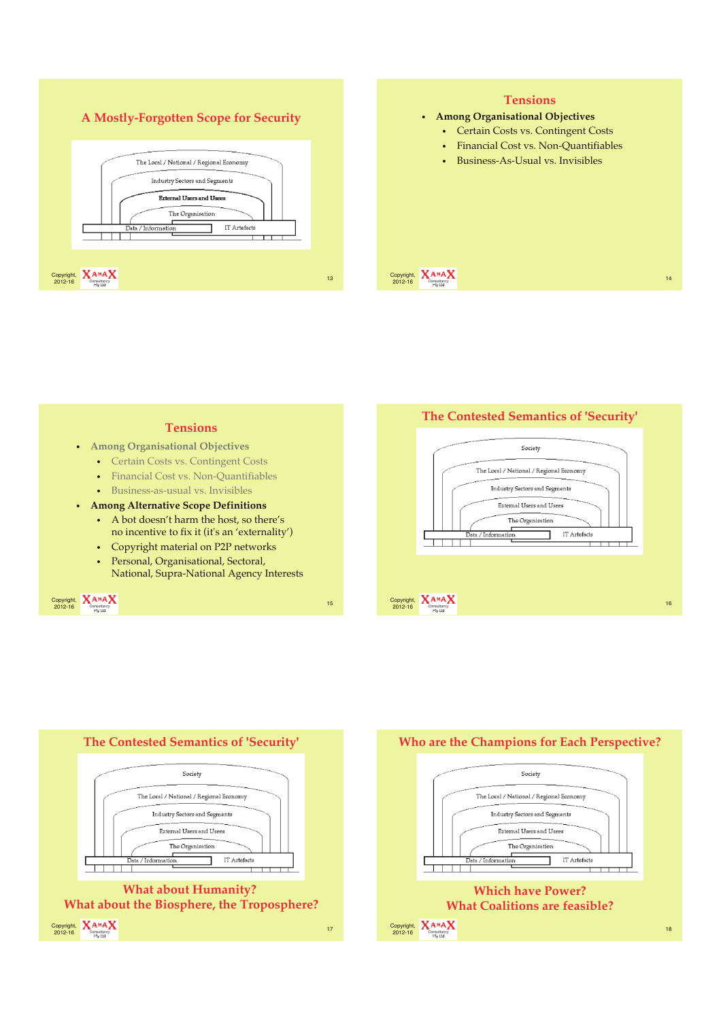









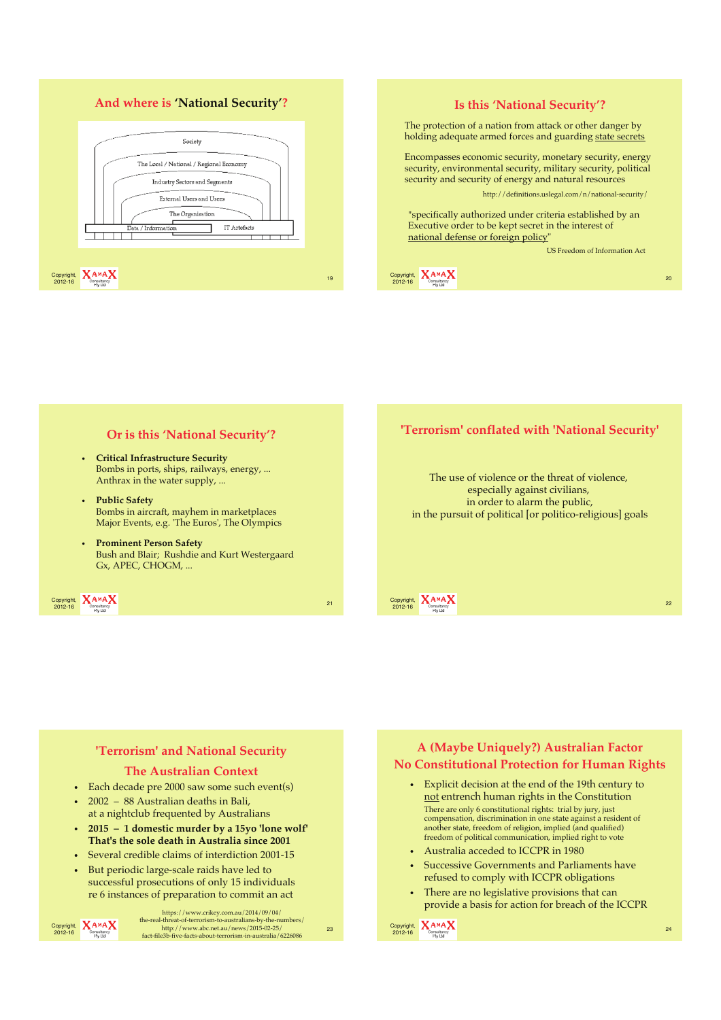### **And where is 'National Security'?**



### **Is this 'National Security'?** The protection of a nation from attack or other danger by holding adequate armed forces and guarding state secrets

Encompasses economic security, monetary security, energy security, environmental security, military security, political security and security of energy and natural resources

http://definitions.uslegal.com/n/national-security/

"specifically authorized under criteria established by an Executive order to be kept secret in the interest of national defense or foreign policy

US Freedom of Information Act



### **Or is this 'National Security'?**

- **Critical Infrastructure Security** Bombs in ports, ships, railways, energy, ... Anthrax in the water supply, ...
- **Public Safety** Bombs in aircraft, mayhem in marketplaces Major Events, e.g. 'The Euros', The Olympics
- **Prominent Person Safety** Bush and Blair; Rushdie and Kurt Westergaard Gx, APEC, CHOGM, ...



### **'Terrorism' conflated with 'National Security'**

The use of violence or the threat of violence, especially against civilians, in order to alarm the public, in the pursuit of political [or politico-religious] goals



### **'Terrorism' and National Security**

#### **The Australian Context**

- Each decade pre 2000 saw some such event(s)
- 2002 88 Australian deaths in Bali, at a nightclub frequented by Australians
- **2015 1 domestic murder by a 15yo 'lone wolf' That's the sole death in Australia since 2001**
- Several credible claims of interdiction 2001-15
- But periodic large-scale raids have led to successful prosecutions of only 15 individuals re 6 instances of preparation to commit an act

Copyright, **XAMAX**<br>2012-16 Consultancy

 $\frac{\text{http://www.abc.net.au/news/2015-02-25}}{\text{Consquare}}$ https://www.crikey.com.au/2014/09/04/ the-real-threat-of-terrorism-to-australians-by-the-numbers/ http://www.abc.net.au/news/2015-02-25/ fact-file3b-five-facts-about-terrorism-in-australia/6226086

### **A (Maybe Uniquely?) Australian Factor No Constitutional Protection for Human Rights**

- Explicit decision at the end of the 19th century to not entrench human rights in the Constitution There are only 6 constitutional rights: trial by jury, just compensation, discrimination in one state against a resident of another state, freedom of religion, implied (and qualified) freedom of political communication, implied right to vote
- Australia acceded to ICCPR in 1980
- Successive Governments and Parliaments have refused to comply with ICCPR obligations
- There are no legislative provisions that can provide a basis for action for breach of the ICCPR

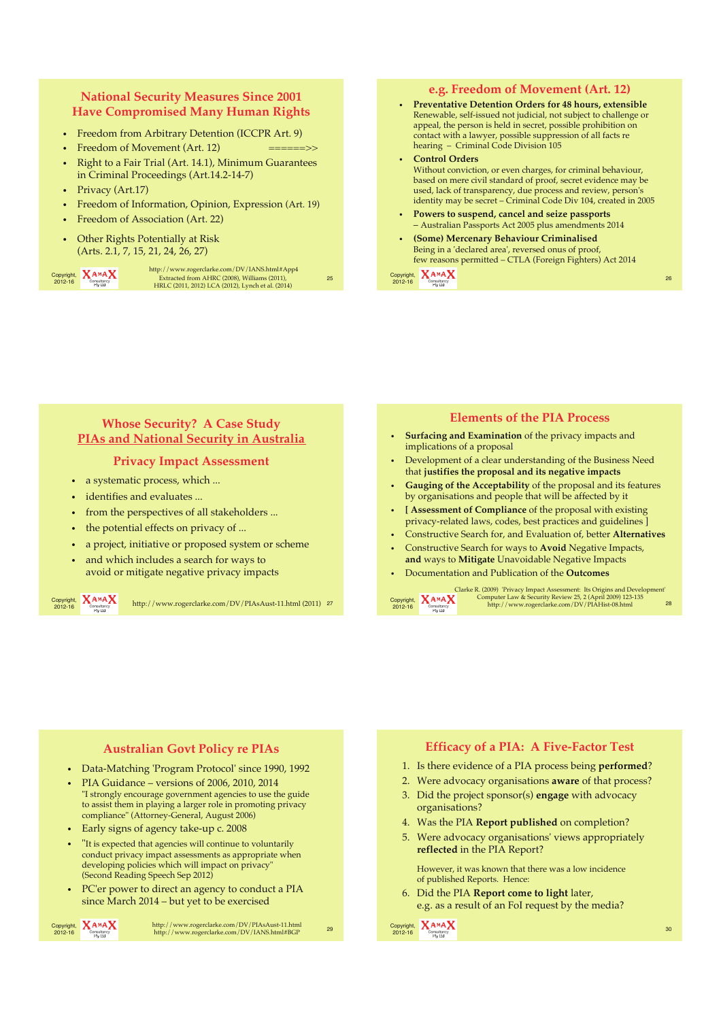### **National Security Measures Since 2001 Have Compromised Many Human Rights**

- Freedom from Arbitrary Detention (ICCPR Art. 9)
- Freedom of Movement (Art. 12)
- Right to a Fair Trial (Art. 14.1), Minimum Guarantees in Criminal Proceedings (Art.14.2-14-7)
- Privacy (Art.17)
- Freedom of Information, Opinion, Expression (Art. 19)
- Freedom of Association (Art. 22)
- Other Rights Potentially at Risk (Arts. 2.1, 7, 15, 21, 24, 26, 27)

Copyright, **XAMAX** 

2012-16 <sup>25</sup> Extracted from AHRC (2008), Williams (2011), HRLC (2011, 2012) LCA (2012), Lynch et al. (2014) http://www.rogerclarke.com/DV/IANS.html#App4

**e.g. Freedom of Movement (Art. 12)**  • **Preventative Detention Orders for 48 hours, extensible** Renewable, self-issued not judicial, not subject to challenge or appeal, the person is held in secret, possible prohibition on contact with a lawyer, possible suppression of all facts re hearing – Criminal Code Division 105

• **Control Orders** Without conviction, or even charges, for criminal behaviour, based on mere civil standard of proof, secret evidence may be used, lack of transparency, due process and review, person's identity may be secret – Criminal Code Div 104, created in 2005

- **Powers to suspend, cancel and seize passports** – Australian Passports Act 2005 plus amendments 2014
- **(Some) Mercenary Behaviour Criminalised** Being in a 'declared area', reversed onus of proof, few reasons permitted – CTLA (Foreign Fighters) Act 2014

Copyright, 2012-16 <sup>26</sup>

### **Whose Security? A Case Study PIAs and National Security in Australia**

#### **Privacy Impact Assessment**

- a systematic process, which ...
- identifies and evaluates ...
- from the perspectives of all stakeholders ...
- the potential effects on privacy of ...
- a project, initiative or proposed system or scheme
- and which includes a search for ways to avoid or mitigate negative privacy impacts

Copyright,  $X_{\text{Consubtract}}^{A \text{ M} A}$ 

 $\frac{2012 \cdot 16}{2012 \cdot 16}$   $\frac{A^{AA}A}{2012 \cdot 16}$  http://www.rogerclarke.com/DV/PIAsAust-11.html (2011) 27 Copyright,

#### **Elements of the PIA Process**

- **Surfacing and Examination** of the privacy impacts and implications of a proposal
- Development of a clear understanding of the Business Need that **justifies the proposal and its negative impacts**
- **Gauging of the Acceptability** of the proposal and its features by organisations and people that will be affected by it
- **[ Assessment of Compliance** of the proposal with existing privacy-related laws, codes, best practices and guidelines ]
- Constructive Search for, and Evaluation of, better **Alternatives**
- Constructive Search for ways to **Avoid** Negative Impacts, **and** ways to **Mitigate** Unavoidable Negative Impacts
- Documentation and Publication of the **Outcomes**



2012-16 Consultancy http://www.rogerclarke.com/DV/PIAHist-08.html 28 Clarke R. (2009) 'Privacy Impact Assessment: Its Origins and Development' Computer Law & Security Review 25, 2 (April 2009) 123-135 http://www.rogerclarke.com/DV/PIAHist-08.html

#### **Australian Govt Policy re PIAs**

- Data-Matching 'Program Protocol' since 1990, 1992
- PIA Guidance versions of 2006, 2010, 2014 "I strongly encourage government agencies to use the guide to assist them in playing a larger role in promoting privacy compliance" (Attorney-General, August 2006)
- Early signs of agency take-up c. 2008
- "It is expected that agencies will continue to voluntarily conduct privacy impact assessments as appropriate when developing policies which will impact on privacy" (Second Reading Speech Sep 2012)
- PC'er power to direct an agency to conduct a PIA since March 2014 – but yet to be exercised

Copyright, **XAMAX**<br>2012-16 Consultancy

2012-16 <sup>29</sup> http://www.rogerclarke.com/DV/PIAsAust-11.html http://www.rogerclarke.com/DV/IANS.html#BGP

#### **Efficacy of a PIA: A Five-Factor Test**

- 1. Is there evidence of a PIA process being **performed**?
- 2. Were advocacy organisations **aware** of that process?
- 3. Did the project sponsor(s) **engage** with advocacy organisations?
- 4. Was the PIA **Report published** on completion?
- 5. Were advocacy organisations' views appropriately **reflected** in the PIA Report?

However, it was known that there was a low incidence of published Reports. Hence:

6. Did the PIA **Report come to light** later, e.g. as a result of an FoI request by the media?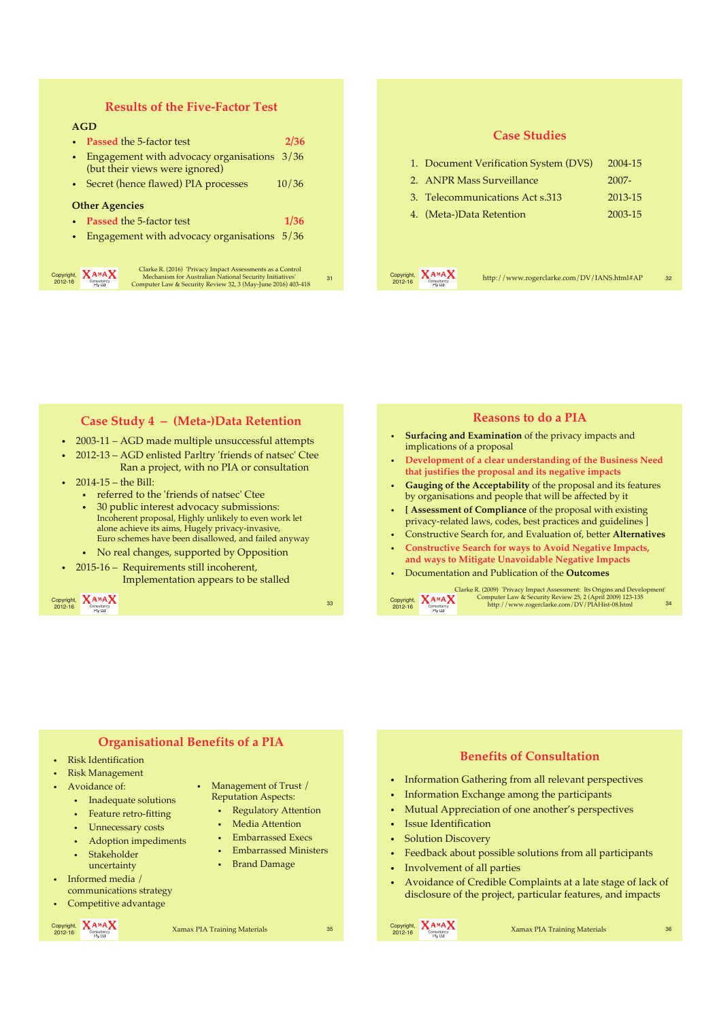### **Results of the Five-Factor Test**

#### **AGD**

- **Passed** the 5-factor test **2/36**
- Engagement with advocacy organisations 3/36 (but their views were ignored)
- Secret (hence flawed) PIA processes 10/36

#### **Other Agencies**

- **Passed** the 5-factor test **1/36**
- Engagement with advocacy organisations 5/36

| Copyright,<br>2012-16 | AMA<br>Consultancy<br><b>Pty Ltd</b> |
|-----------------------|--------------------------------------|
|-----------------------|--------------------------------------|

2012-16 <sup>31</sup> Clarke R. (2016) 'Privacy Impact Assessments as a Control Mechanism for Australian National Security Initiatives' Computer Law & Security Review 32, 3 (May-June 2016) 403-418

| <b>Case Studies</b>                                                            |         |
|--------------------------------------------------------------------------------|---------|
| 1. Document Verification System (DVS)                                          | 2004-15 |
| 2. ANPR Mass Surveillance                                                      | 2007-   |
| 3. Telecommunications Act s.313                                                | 2013-15 |
| 4. (Meta-)Data Retention                                                       | 2003-15 |
|                                                                                |         |
|                                                                                |         |
| Copyright,<br>http://www.rogerclarke.com/DV/IANS.html#AP<br>2012-16<br>Pty Ltd | 32      |
|                                                                                |         |

#### $\mathsf{Copyright.}\quad\mathsf{A}\mathsf{A}^{\mathsf{M}}\mathsf{A}\mathsf{A}$  33 **Case Study 4 – (Meta-)Data Retention** • 2003-11 – AGD made multiple unsuccessful attempts • 2012-13 – AGD enlisted Parltry 'friends of natsec' Ctee Ran a project, with no PIA or consultation • 2014-15 – the Bill: • referred to the 'friends of natsec' Ctee • 30 public interest advocacy submissions: Incoherent proposal, Highly unlikely to even work let alone achieve its aims, Hugely privacy-invasive, Euro schemes have been disallowed, and failed anyway • No real changes, supported by Opposition • 2015-16 – Requirements still incoherent, Implementation appears to be stalled Copyright,  $X_{\text{Conslutacy}}^{A \text{ M}} X$ 2012-16 Consultancy http://www.rogerclarke.com/DV/PIAHist-08.html 34 **Reasons to do a PIA** • **Surfacing and Examination** of the privacy impacts and implications of a proposal • **Development of a clear understanding of the Business Need that justifies the proposal and its negative impacts** • **Gauging of the Acceptability** of the proposal and its features by organisations and people that will be affected by it • **[ Assessment of Compliance** of the proposal with existing privacy-related laws, codes, best practices and guidelines ] • Constructive Search for, and Evaluation of, better **Alternatives** • **Constructive Search for ways to Avoid Negative Impacts, and ways to Mitigate Unavoidable Negative Impacts**  • Documentation and Publication of the **Outcomes** Clarke R. (2009) 'Privacy Impact Assessment: Its Origins and Development' Computer Law & Security Review 25, 2 (April 2009) 123-135 http://www.rogerclarke.com/DV/PIAHist-08.html

| <b>Organisational Benefits of a PIA</b><br>• Risk Identification<br>• Risk Management<br>Management of Trust /<br>$\bullet$ Avoidance of:<br><b>Reputation Aspects:</b><br>• Inadequate solutions<br><b>Regulatory Attention</b><br>$\bullet$<br>• Feature retro-fitting<br>Media Attention<br>$\bullet$<br>Unnecessary costs<br><b>Embarrassed Execs</b><br>$\bullet$<br>Adoption impediments<br><b>Embarrassed Ministers</b><br>$\bullet$<br>Stakeholder<br><b>Brand Damage</b><br>$\bullet$<br>uncertainty<br>$\bullet$ Informed media /<br>communications strategy<br>• Competitive advantage | <b>Benefits of Consultation</b><br>• Information Gathering from all relevant perspectives<br>• Information Exchange among the participants<br>• Mutual Appreciation of one another's perspectives<br>• Issue Identification<br>• Solution Discovery<br>Feedback about possible solutions from all participants<br>Involvement of all parties<br>Avoidance of Credible Complaints at a late stage of lack of<br>disclosure of the project, particular features, and impacts |
|---------------------------------------------------------------------------------------------------------------------------------------------------------------------------------------------------------------------------------------------------------------------------------------------------------------------------------------------------------------------------------------------------------------------------------------------------------------------------------------------------------------------------------------------------------------------------------------------------|----------------------------------------------------------------------------------------------------------------------------------------------------------------------------------------------------------------------------------------------------------------------------------------------------------------------------------------------------------------------------------------------------------------------------------------------------------------------------|
| Copyright, $X^{A \wedge A}X$<br>Xamax PIA Training Materials<br>2012-16<br>Pty Ltd                                                                                                                                                                                                                                                                                                                                                                                                                                                                                                                | Copyright, <b>XAMAX</b><br>Xamax PIA Training Materials<br>35<br>36<br>2012-16<br><b>Pty Ltd</b>                                                                                                                                                                                                                                                                                                                                                                           |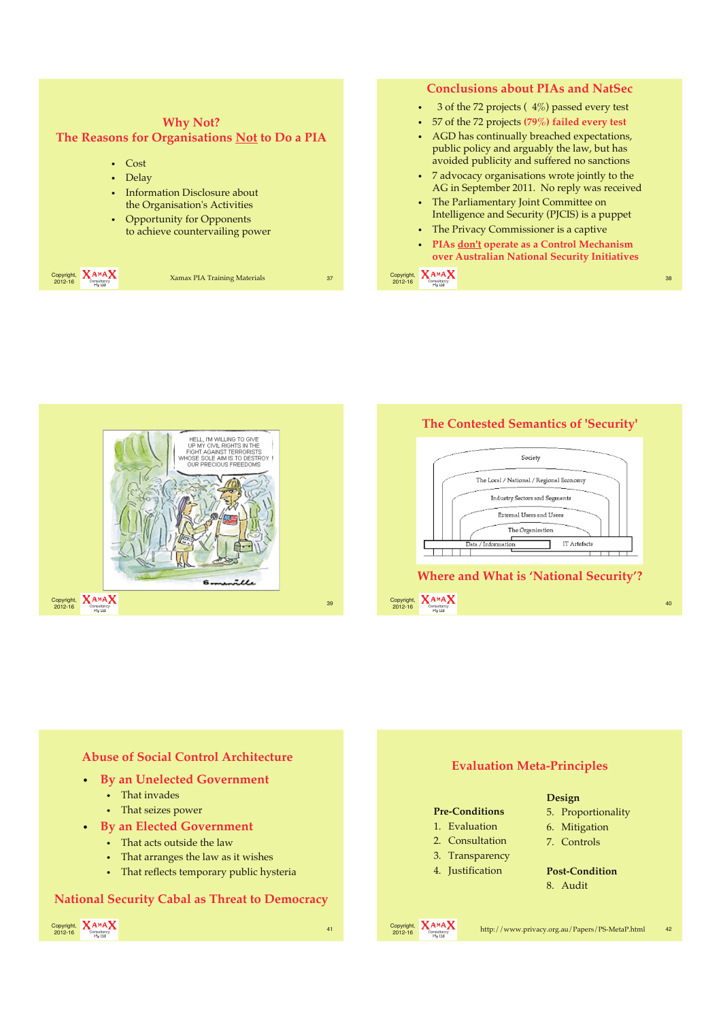



**The Contested Semantics of 'Security'**



#### **Abuse of Social Control Architecture**

- **By an Unelected Government**
	- That invades
	- That seizes power
- **By an Elected Government**
	- That acts outside the law
	- That arranges the law as it wishes
	- That reflects temporary public hysteria

#### **National Security Cabal as Threat to Democracy**



### **Evaluation Meta-Principles Pre-Conditions** 1. Evaluation 2. Consultation 3. Transparency 4. Justification **Design** 5. Proportionality 6. Mitigation 7. Controls **Post-Condition** 8. Audit

Copyright,